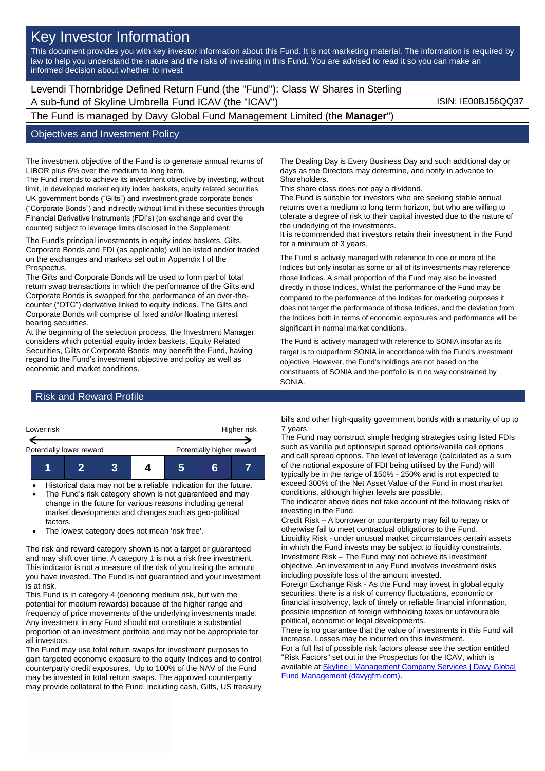# Key Investor Information

This document provides you with key investor information about this Fund. It is not marketing material. The information is required by law to help you understand the nature and the risks of investing in this Fund. You are advised to read it so you can make an informed decision about whether to invest

Levendi Thornbridge Defined Return Fund (the "Fund"): Class W Shares in Sterling A sub-fund of Skyline Umbrella Fund ICAV (the "ICAV") **ISIN: IE00BJ56QQ37** 

The Fund is managed by Davy Global Fund Management Limited (the **Manager**")

### Objectives and Investment Policy

The investment objective of the Fund is to generate annual returns of LIBOR plus 6% over the medium to long term.

The Fund intends to achieve its investment objective by investing, without limit, in developed market equity index baskets, equity related securities UK government bonds ("Gilts") and investment grade corporate bonds ("Corporate Bonds") and indirectly without limit in these securities through Financial Derivative Instruments (FDI's) (on exchange and over the counter) subject to leverage limits disclosed in the Supplement.

The Fund's principal investments in equity index baskets, Gilts, Corporate Bonds and FDI (as applicable) will be listed and/or traded on the exchanges and markets set out in Appendix I of the **Prospectus.** 

The Gilts and Corporate Bonds will be used to form part of total return swap transactions in which the performance of the Gilts and Corporate Bonds is swapped for the performance of an over-thecounter ("OTC") derivative linked to equity indices. The Gilts and Corporate Bonds will comprise of fixed and/or floating interest bearing securities.

At the beginning of the selection process, the Investment Manager considers which potential equity index baskets, Equity Related Securities, Gilts or Corporate Bonds may benefit the Fund, having regard to the Fund's investment objective and policy as well as economic and market conditions.

The Dealing Day is Every Business Day and such additional day or days as the Directors may determine, and notify in advance to Shareholders.

This share class does not pay a dividend.

The Fund is suitable for investors who are seeking stable annual returns over a medium to long term horizon, but who are willing to tolerate a degree of risk to their capital invested due to the nature of the underlying of the investments.

It is recommended that investors retain their investment in the Fund for a minimum of 3 years.

The Fund is actively managed with reference to one or more of the Indices but only insofar as some or all of its investments may reference those Indices. A small proportion of the Fund may also be invested directly in those Indices. Whilst the performance of the Fund may be compared to the performance of the Indices for marketing purposes it does not target the performance of those Indices, and the deviation from the Indices both in terms of economic exposures and performance will be significant in normal market conditions.

The Fund is actively managed with reference to SONIA insofar as its target is to outperform SONIA in accordance with the Fund's investment objective. However, the Fund's holdings are not based on the constituents of SONIA and the portfolio is in no way constrained by SONIA.

### Risk and Reward Profile



• Historical data may not be a reliable indication for the future. The Fund's risk category shown is not guaranteed and may change in the future for various reasons including general

market developments and changes such as geo-political factors.

• The lowest category does not mean 'risk free'.

The risk and reward category shown is not a target or guaranteed and may shift over time. A category 1 is not a risk free investment. This indicator is not a measure of the risk of you losing the amount you have invested. The Fund is not guaranteed and your investment is at risk.

This Fund is in category 4 (denoting medium risk, but with the potential for medium rewards) because of the higher range and frequency of price movements of the underlying investments made. Any investment in any Fund should not constitute a substantial proportion of an investment portfolio and may not be appropriate for all investors.

The Fund may use total return swaps for investment purposes to gain targeted economic exposure to the equity Indices and to control counterparty credit exposures. Up to 100% of the NAV of the Fund may be invested in total return swaps. The approved counterparty may provide collateral to the Fund, including cash, Gilts, US treasury bills and other high-quality government bonds with a maturity of up to 7 years.

The Fund may construct simple hedging strategies using listed FDIs such as vanilla put options/put spread options/vanilla call options and call spread options. The level of leverage (calculated as a sum of the notional exposure of FDI being utilised by the Fund) will typically be in the range of 150% - 250% and is not expected to exceed 300% of the Net Asset Value of the Fund in most market conditions, although higher levels are possible.

The indicator above does not take account of the following risks of investing in the Fund.

Credit Risk – A borrower or counterparty may fail to repay or otherwise fail to meet contractual obligations to the Fund. Liquidity Risk - under unusual market circumstances certain assets in which the Fund invests may be subject to liquidity constraints. Investment Risk – The Fund may not achieve its investment objective. An investment in any Fund involves investment risks including possible loss of the amount invested.

Foreign Exchange Risk - As the Fund may invest in global equity securities, there is a risk of currency fluctuations, economic or financial insolvency, lack of timely or reliable financial information, possible imposition of foreign withholding taxes or unfavourable political, economic or legal developments.

There is no guarantee that the value of investments in this Fund will increase. Losses may be incurred on this investment. For a full list of possible risk factors please see the section entitled "Risk Factors" set out in the Prospectus for the ICAV, which is available a[t Skyline | Management Company Services | Davy Global](https://www.davygfm.com/funds-factsheets/management-company-services/ireland/skyline.html)  [Fund Management \(davygfm.com\).](https://www.davygfm.com/funds-factsheets/management-company-services/ireland/skyline.html)